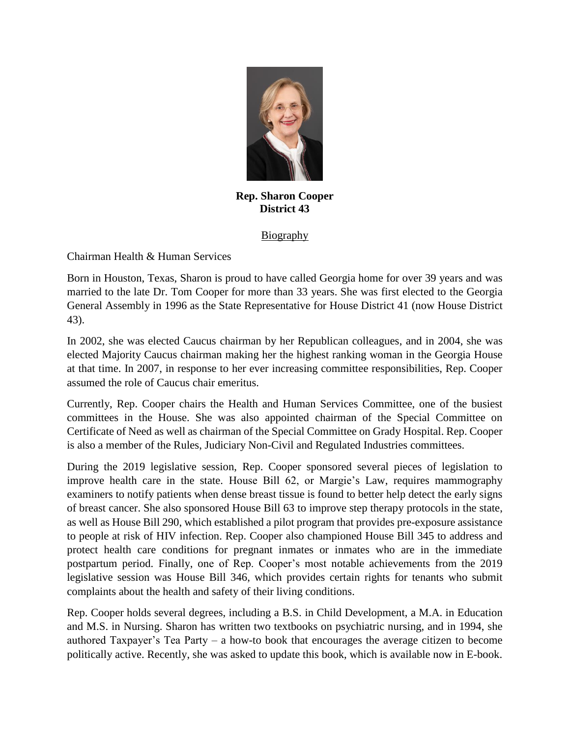

**Rep. Sharon Cooper District 43**

Biography

Chairman Health & Human Services

Born in Houston, Texas, Sharon is proud to have called Georgia home for over 39 years and was married to the late Dr. Tom Cooper for more than 33 years. She was first elected to the Georgia General Assembly in 1996 as the State Representative for House District 41 (now House District 43).

In 2002, she was elected Caucus chairman by her Republican colleagues, and in 2004, she was elected Majority Caucus chairman making her the highest ranking woman in the Georgia House at that time. In 2007, in response to her ever increasing committee responsibilities, Rep. Cooper assumed the role of Caucus chair emeritus.

Currently, Rep. Cooper chairs the Health and Human Services Committee, one of the busiest committees in the House. She was also appointed chairman of the Special Committee on Certificate of Need as well as chairman of the Special Committee on Grady Hospital. Rep. Cooper is also a member of the Rules, Judiciary Non-Civil and Regulated Industries committees.

During the 2019 legislative session, Rep. Cooper sponsored several pieces of legislation to improve health care in the state. House Bill 62, or Margie's Law, requires mammography examiners to notify patients when dense breast tissue is found to better help detect the early signs of breast cancer. She also sponsored House Bill 63 to improve step therapy protocols in the state, as well as House Bill 290, which established a pilot program that provides pre-exposure assistance to people at risk of HIV infection. Rep. Cooper also championed House Bill 345 to address and protect health care conditions for pregnant inmates or inmates who are in the immediate postpartum period. Finally, one of Rep. Cooper's most notable achievements from the 2019 legislative session was House Bill 346, which provides certain rights for tenants who submit complaints about the health and safety of their living conditions.

Rep. Cooper holds several degrees, including a B.S. in Child Development, a M.A. in Education and M.S. in Nursing. Sharon has written two textbooks on psychiatric nursing, and in 1994, she authored Taxpayer's Tea Party – a how-to book that encourages the average citizen to become politically active. Recently, she was asked to update this book, which is available now in E-book.